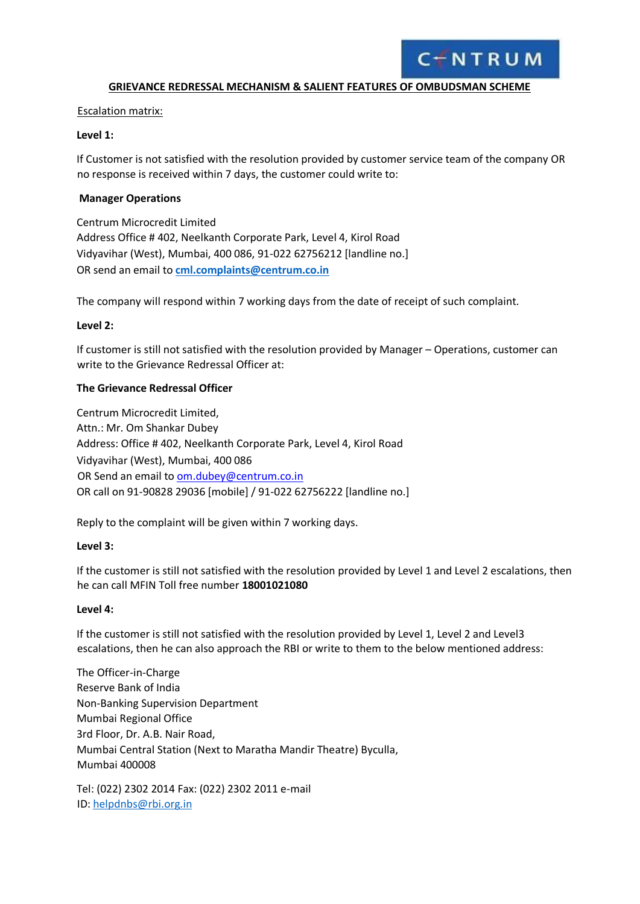

#### **GRIEVANCE REDRESSAL MECHANISM & SALIENT FEATURES OF OMBUDSMAN SCHEME**

Escalation matrix:

#### **Level 1:**

If Customer is not satisfied with the resolution provided by customer service team of the company OR no response is received within 7 days, the customer could write to:

#### **Manager Operations**

Centrum Microcredit Limited Address Office # 402, Neelkanth Corporate Park, Level 4, Kirol Road Vidyavihar (West), Mumbai, 400 086, 91-022 62756212 [landline no.] OR send an email to **cml.complaints@centrum.co.in**

The company will respond within 7 working days from the date of receipt of such complaint.

#### **Level 2:**

If customer is still not satisfied with the resolution provided by Manager – Operations, customer can write to the Grievance Redressal Officer at:

#### **The Grievance Redressal Officer**

Centrum Microcredit Limited, Attn.: Mr. Om Shankar Dubey Address: Office # 402, Neelkanth Corporate Park, Level 4, Kirol Road Vidyavihar (West), Mumbai, 400 086 OR Send an email to [om.dubey@centrum.co.in](mailto:om.dubey@centrum.co.in) OR call on 91-90828 29036 [mobile] / 91-022 62756222 [landline no.]

Reply to the complaint will be given within 7 working days.

#### **Level 3:**

If the customer is still not satisfied with the resolution provided by Level 1 and Level 2 escalations, then he can call MFIN Toll free number **18001021080**

#### **Level 4:**

If the customer is still not satisfied with the resolution provided by Level 1, Level 2 and Level3 escalations, then he can also approach the RBI or write to them to the below mentioned address:

The Officer-in-Charge Reserve Bank of India Non-Banking Supervision Department Mumbai Regional Office 3rd Floor, Dr. A.B. Nair Road, Mumbai Central Station (Next to Maratha Mandir Theatre) Byculla, Mumbai 400008

Tel: (022) 2302 2014 Fax: (022) 2302 2011 e-mail ID[: helpdnbs@rbi.org.in](mailto:helpdnbs@rbi.org.in)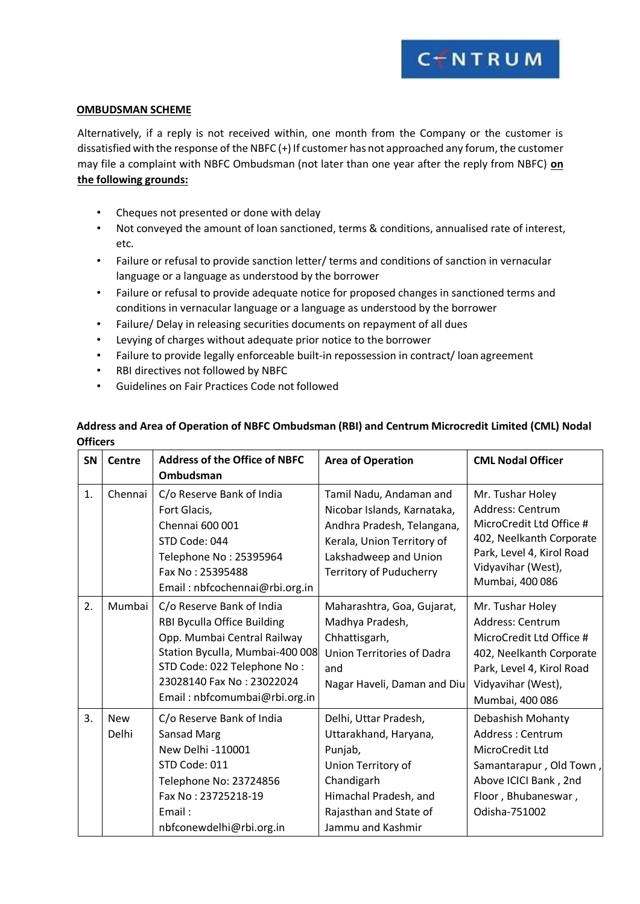## CINTRUM

#### **OMBUDSMAN SCHEME**

Alternatively, if a reply is not received within, one month from the Company or the customer is dissatisfied with the response of the NBFC (+) If customer has not approached any forum, the customer may file a complaint with NBFC Ombudsman (not later than one year after the reply from NBFC) **on the following grounds:**

- Cheques not presented or done with delay
- Not conveyed the amount of loan sanctioned, terms & conditions, annualised rate of interest, etc.
- Failure or refusal to provide sanction letter/ terms and conditions of sanction in vernacular language or a language as understood by the borrower
- Failure or refusal to provide adequate notice for proposed changes in sanctioned terms and conditions in vernacular language or a language as understood by the borrower
- Failure/ Delay in releasing securities documents on repayment of all dues
- Levying of charges without adequate prior notice to the borrower
- Failure to provide legally enforceable built-in repossession in contract/ loan agreement
- RBI directives not followed by NBFC
- Guidelines on Fair Practices Code not followed

### **Address and Area of Operation of NBFC Ombudsman (RBI) and Centrum Microcredit Limited (CML) Nodal Officers**

| <b>SN</b>      | Centre     | <b>Address of the Office of NBFC</b> | <b>Area of Operation</b>       | <b>CML Nodal Officer</b>  |
|----------------|------------|--------------------------------------|--------------------------------|---------------------------|
|                |            | Ombudsman                            |                                |                           |
| $\mathbf{1}$ . | Chennai    | C/o Reserve Bank of India            | Tamil Nadu, Andaman and        | Mr. Tushar Holey          |
|                |            | Fort Glacis,                         | Nicobar Islands, Karnataka,    | Address: Centrum          |
|                |            | Chennai 600 001                      | Andhra Pradesh, Telangana,     | MicroCredit Ltd Office #  |
|                |            | STD Code: 044                        | Kerala, Union Territory of     | 402, Neelkanth Corporate  |
|                |            | Telephone No: 25395964               | Lakshadweep and Union          | Park, Level 4, Kirol Road |
|                |            | Fax No: 25395488                     | <b>Territory of Puducherry</b> | Vidyavihar (West),        |
|                |            | Email: nbfcochennai@rbi.org.in       |                                | Mumbai, 400 086           |
| 2.             | Mumbai     | C/o Reserve Bank of India            | Maharashtra, Goa, Gujarat,     | Mr. Tushar Holey          |
|                |            | RBI Byculla Office Building          | Madhya Pradesh,                | Address: Centrum          |
|                |            | Opp. Mumbai Central Railway          | Chhattisgarh,                  | MicroCredit Ltd Office #  |
|                |            | Station Byculla, Mumbai-400 008      | Union Territories of Dadra     | 402, Neelkanth Corporate  |
|                |            | STD Code: 022 Telephone No:          | and                            | Park, Level 4, Kirol Road |
|                |            | 23028140 Fax No: 23022024            | Nagar Haveli, Daman and Diu    | Vidyavihar (West),        |
|                |            | Email: nbfcomumbai@rbi.org.in        |                                | Mumbai, 400 086           |
| 3.             | <b>New</b> | C/o Reserve Bank of India            | Delhi, Uttar Pradesh,          | Debashish Mohanty         |
|                | Delhi      | Sansad Marg                          | Uttarakhand, Haryana,          | Address: Centrum          |
|                |            | New Delhi -110001                    | Punjab,                        | MicroCredit Ltd           |
|                |            | STD Code: 011                        | Union Territory of             | Samantarapur, Old Town,   |
|                |            | Telephone No: 23724856               | Chandigarh                     | Above ICICI Bank, 2nd     |
|                |            | Fax No: 23725218-19                  | Himachal Pradesh, and          | Floor, Bhubaneswar,       |
|                |            | Email:                               | Rajasthan and State of         | Odisha-751002             |
|                |            | nbfconewdelhi@rbi.org.in             | Jammu and Kashmir              |                           |